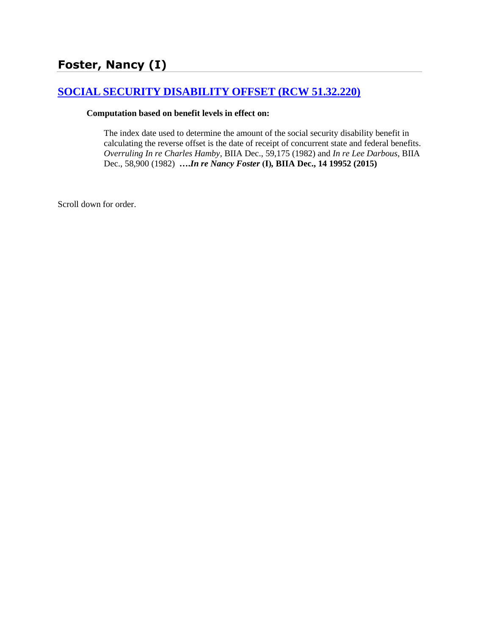# **[SOCIAL SECURITY DISABILITY OFFSET \(RCW 51.32.220\)](http://www.biia.wa.gov/SDSubjectIndex.html#SOCIAL_SECURITY_DISABILITY_OFFSET)**

#### **Computation based on benefit levels in effect on:**

The index date used to determine the amount of the social security disability benefit in calculating the reverse offset is the date of receipt of concurrent state and federal benefits. *Overruling In re Charles Hamby*, BIIA Dec., 59,175 (1982) and *In re Lee Darbous*, BIIA Dec., 58,900 (1982) **….***In re Nancy Foster* **(I)***,* **BIIA Dec., 14 19952 (2015)**

Scroll down for order.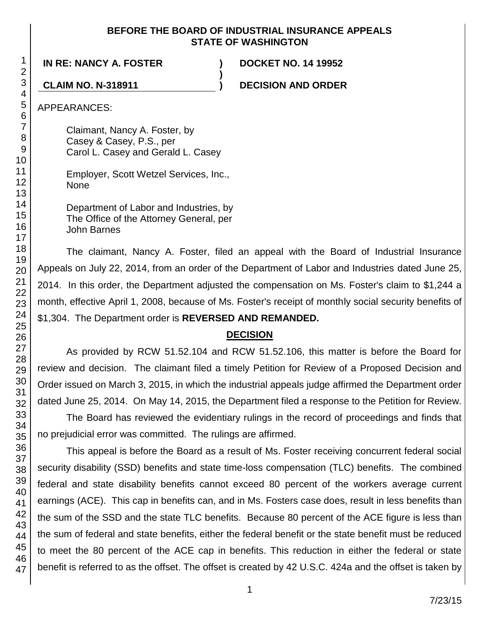### **BEFORE THE BOARD OF INDUSTRIAL INSURANCE APPEALS STATE OF WASHINGTON**

**)**

**IN RE: NANCY A. FOSTER ) DOCKET NO. 14 19952**

**CLAIM NO. N-318911 ) DECISION AND ORDER**

APPEARANCES:

Claimant, Nancy A. Foster, by Casey & Casey, P.S., per Carol L. Casey and Gerald L. Casey

Employer, Scott Wetzel Services, Inc., None

Department of Labor and Industries, by The Office of the Attorney General, per John Barnes

The claimant, Nancy A. Foster, filed an appeal with the Board of Industrial Insurance Appeals on July 22, 2014, from an order of the Department of Labor and Industries dated June 25, 2014. In this order, the Department adjusted the compensation on Ms. Foster's claim to \$1,244 a month, effective April 1, 2008, because of Ms. Foster's receipt of monthly social security benefits of \$1,304. The Department order is **REVERSED AND REMANDED.**

## **DECISION**

As provided by RCW 51.52.104 and RCW 51.52.106, this matter is before the Board for review and decision. The claimant filed a timely Petition for Review of a Proposed Decision and Order issued on March 3, 2015, in which the industrial appeals judge affirmed the Department order dated June 25, 2014. On May 14, 2015, the Department filed a response to the Petition for Review.

The Board has reviewed the evidentiary rulings in the record of proceedings and finds that no prejudicial error was committed. The rulings are affirmed.

This appeal is before the Board as a result of Ms. Foster receiving concurrent federal social security disability (SSD) benefits and state time-loss compensation (TLC) benefits. The combined federal and state disability benefits cannot exceed 80 percent of the workers average current earnings (ACE). This cap in benefits can, and in Ms. Fosters case does, result in less benefits than the sum of the SSD and the state TLC benefits. Because 80 percent of the ACE figure is less than the sum of federal and state benefits, either the federal benefit or the state benefit must be reduced to meet the 80 percent of the ACE cap in benefits. This reduction in either the federal or state benefit is referred to as the offset. The offset is created by 42 U.S.C. 424a and the offset is taken by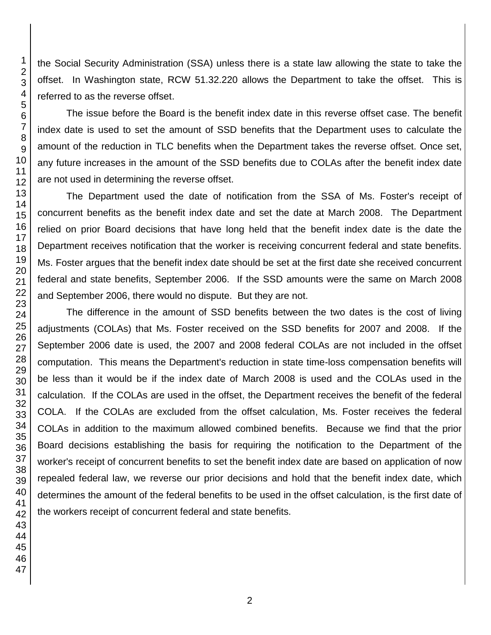the Social Security Administration (SSA) unless there is a state law allowing the state to take the offset. In Washington state, RCW 51.32.220 allows the Department to take the offset. This is referred to as the reverse offset.

The issue before the Board is the benefit index date in this reverse offset case. The benefit index date is used to set the amount of SSD benefits that the Department uses to calculate the amount of the reduction in TLC benefits when the Department takes the reverse offset. Once set, any future increases in the amount of the SSD benefits due to COLAs after the benefit index date are not used in determining the reverse offset.

The Department used the date of notification from the SSA of Ms. Foster's receipt of concurrent benefits as the benefit index date and set the date at March 2008. The Department relied on prior Board decisions that have long held that the benefit index date is the date the Department receives notification that the worker is receiving concurrent federal and state benefits. Ms. Foster argues that the benefit index date should be set at the first date she received concurrent federal and state benefits, September 2006. If the SSD amounts were the same on March 2008 and September 2006, there would no dispute. But they are not.

The difference in the amount of SSD benefits between the two dates is the cost of living adjustments (COLAs) that Ms. Foster received on the SSD benefits for 2007 and 2008. If the September 2006 date is used, the 2007 and 2008 federal COLAs are not included in the offset computation. This means the Department's reduction in state time-loss compensation benefits will be less than it would be if the index date of March 2008 is used and the COLAs used in the calculation. If the COLAs are used in the offset, the Department receives the benefit of the federal COLA. If the COLAs are excluded from the offset calculation, Ms. Foster receives the federal COLAs in addition to the maximum allowed combined benefits. Because we find that the prior Board decisions establishing the basis for requiring the notification to the Department of the worker's receipt of concurrent benefits to set the benefit index date are based on application of now repealed federal law, we reverse our prior decisions and hold that the benefit index date, which determines the amount of the federal benefits to be used in the offset calculation, is the first date of the workers receipt of concurrent federal and state benefits.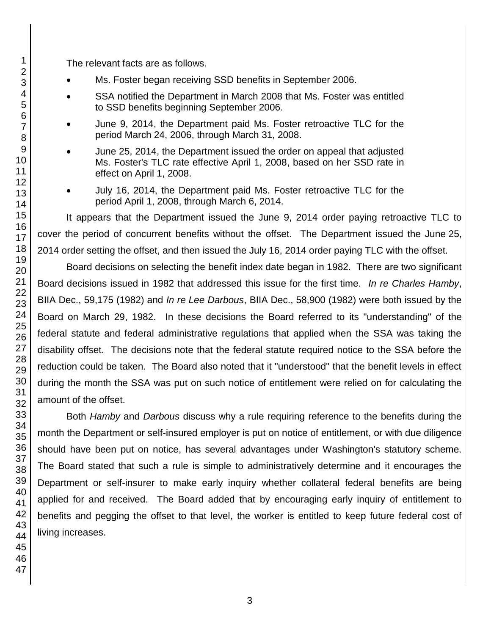The relevant facts are as follows.

- Ms. Foster began receiving SSD benefits in September 2006.
- SSA notified the Department in March 2008 that Ms. Foster was entitled to SSD benefits beginning September 2006.
- June 9, 2014, the Department paid Ms. Foster retroactive TLC for the period March 24, 2006, through March 31, 2008.
- June 25, 2014, the Department issued the order on appeal that adjusted Ms. Foster's TLC rate effective April 1, 2008, based on her SSD rate in effect on April 1, 2008.
- July 16, 2014, the Department paid Ms. Foster retroactive TLC for the period April 1, 2008, through March 6, 2014.

It appears that the Department issued the June 9, 2014 order paying retroactive TLC to cover the period of concurrent benefits without the offset. The Department issued the June 25, 2014 order setting the offset, and then issued the July 16, 2014 order paying TLC with the offset.

Board decisions on selecting the benefit index date began in 1982. There are two significant Board decisions issued in 1982 that addressed this issue for the first time. *In re Charles Hamby*, BIIA Dec., 59,175 (1982) and *In re Lee Darbous*, BIIA Dec., 58,900 (1982) were both issued by the Board on March 29, 1982. In these decisions the Board referred to its "understanding" of the federal statute and federal administrative regulations that applied when the SSA was taking the disability offset. The decisions note that the federal statute required notice to the SSA before the reduction could be taken. The Board also noted that it "understood" that the benefit levels in effect during the month the SSA was put on such notice of entitlement were relied on for calculating the amount of the offset.

Both *Hamby* and *Darbous* discuss why a rule requiring reference to the benefits during the month the Department or self-insured employer is put on notice of entitlement, or with due diligence should have been put on notice, has several advantages under Washington's statutory scheme. The Board stated that such a rule is simple to administratively determine and it encourages the Department or self-insurer to make early inquiry whether collateral federal benefits are being applied for and received. The Board added that by encouraging early inquiry of entitlement to benefits and pegging the offset to that level, the worker is entitled to keep future federal cost of living increases.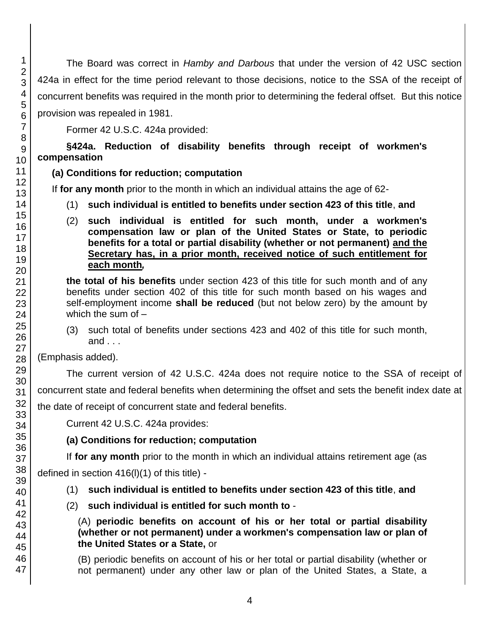The Board was correct in *Hamby and Darbous* that under the version of 42 USC section 424a in effect for the time period relevant to those decisions, notice to the SSA of the receipt of concurrent benefits was required in the month prior to determining the federal offset. But this notice provision was repealed in 1981.

Former 42 U.S.C. 424a provided:

**§424a. Reduction of disability benefits through receipt of workmen's compensation**

## **(a) Conditions for reduction; computation**

If **for any month** prior to the month in which an individual attains the age of 62-

- (1) **such individual is entitled to benefits under section 423 of this title**, **and**
- (2) **such individual is entitled for such month, under a workmen's compensation law or plan of the United States or State, to periodic benefits for a total or partial disability (whether or not permanent) and the Secretary has, in a prior month, received notice of such entitlement for each month***,*

**the total of his benefits** under section 423 of this title for such month and of any benefits under section 402 of this title for such month based on his wages and self-employment income **shall be reduced** (but not below zero) by the amount by which the sum of  $-$ 

(3) such total of benefits under sections 423 and 402 of this title for such month, and . . .

(Emphasis added).

The current version of 42 U.S.C. 424a does not require notice to the SSA of receipt of concurrent state and federal benefits when determining the offset and sets the benefit index date at the date of receipt of concurrent state and federal benefits.

Current 42 U.S.C. 424a provides:

# **(a) Conditions for reduction; computation**

If **for any month** prior to the month in which an individual attains retirement age (as

defined in section 416(l)(1) of this title) -

- (1) **such individual is entitled to benefits under section 423 of this title**, **and**
- (2) **such individual is entitled for such month to** -

(A) **periodic benefits on account of his or her total or partial disability (whether or not permanent) under a workmen's compensation law or plan of the United States or a State,** or

(B) periodic benefits on account of his or her total or partial disability (whether or not permanent) under any other law or plan of the United States, a State, a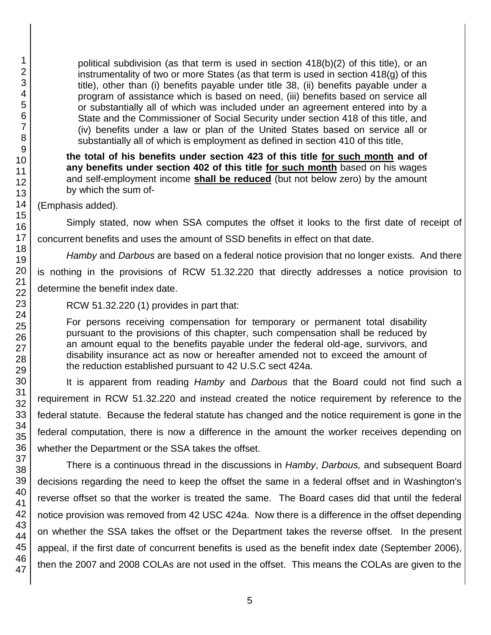political subdivision (as that term is used in section 418(b)(2) of this title), or an instrumentality of two or more States (as that term is used in section 418(g) of this title), other than (i) benefits payable under title 38, (ii) benefits payable under a program of assistance which is based on need, (iii) benefits based on service all or substantially all of which was included under an agreement entered into by a State and the Commissioner of Social Security under section 418 of this title, and (iv) benefits under a law or plan of the United States based on service all or substantially all of which is employment as defined in section 410 of this title,

**the total of his benefits under section 423 of this title for such month and of any benefits under section 402 of this title for such month** based on his wages and self-employment income **shall be reduced** (but not below zero) by the amount by which the sum of-

(Emphasis added).

Simply stated, now when SSA computes the offset it looks to the first date of receipt of concurrent benefits and uses the amount of SSD benefits in effect on that date.

*Hamby* and *Darbous* are based on a federal notice provision that no longer exists. And there is nothing in the provisions of RCW 51.32.220 that directly addresses a notice provision to determine the benefit index date.

RCW 51.32.220 (1) provides in part that:

For persons receiving compensation for temporary or permanent total disability pursuant to the provisions of this chapter, such compensation shall be reduced by an amount equal to the benefits payable under the federal old-age, survivors, and disability insurance act as now or hereafter amended not to exceed the amount of the reduction established pursuant to 42 U.S.C sect 424a.

It is apparent from reading *Hamby* and *Darbous* that the Board could not find such a requirement in RCW 51.32.220 and instead created the notice requirement by reference to the federal statute. Because the federal statute has changed and the notice requirement is gone in the federal computation, there is now a difference in the amount the worker receives depending on whether the Department or the SSA takes the offset.

There is a continuous thread in the discussions in *Hamby*, *Darbous,* and subsequent Board decisions regarding the need to keep the offset the same in a federal offset and in Washington's reverse offset so that the worker is treated the same. The Board cases did that until the federal notice provision was removed from 42 USC 424a. Now there is a difference in the offset depending on whether the SSA takes the offset or the Department takes the reverse offset. In the present appeal, if the first date of concurrent benefits is used as the benefit index date (September 2006), then the 2007 and 2008 COLAs are not used in the offset. This means the COLAs are given to the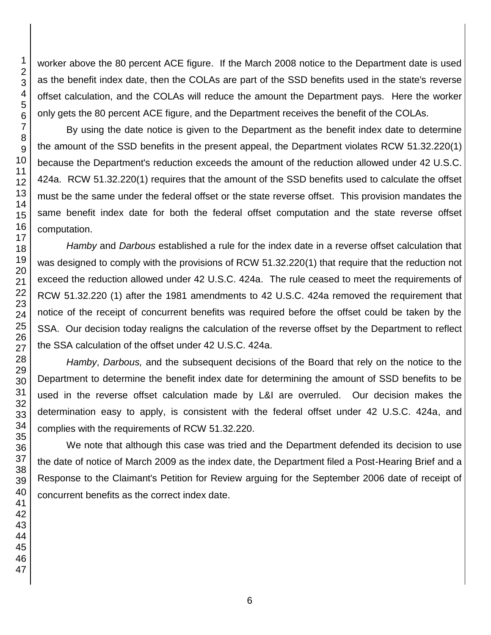worker above the 80 percent ACE figure. If the March 2008 notice to the Department date is used as the benefit index date, then the COLAs are part of the SSD benefits used in the state's reverse offset calculation, and the COLAs will reduce the amount the Department pays. Here the worker only gets the 80 percent ACE figure, and the Department receives the benefit of the COLAs.

By using the date notice is given to the Department as the benefit index date to determine the amount of the SSD benefits in the present appeal, the Department violates RCW 51.32.220(1) because the Department's reduction exceeds the amount of the reduction allowed under 42 U.S.C. 424a. RCW 51.32.220(1) requires that the amount of the SSD benefits used to calculate the offset must be the same under the federal offset or the state reverse offset. This provision mandates the same benefit index date for both the federal offset computation and the state reverse offset computation.

*Hamby* and *Darbous* established a rule for the index date in a reverse offset calculation that was designed to comply with the provisions of RCW 51.32.220(1) that require that the reduction not exceed the reduction allowed under 42 U.S.C. 424a. The rule ceased to meet the requirements of RCW 51.32.220 (1) after the 1981 amendments to 42 U.S.C. 424a removed the requirement that notice of the receipt of concurrent benefits was required before the offset could be taken by the SSA. Our decision today realigns the calculation of the reverse offset by the Department to reflect the SSA calculation of the offset under 42 U.S.C. 424a.

*Hamby*, *Darbous,* and the subsequent decisions of the Board that rely on the notice to the Department to determine the benefit index date for determining the amount of SSD benefits to be used in the reverse offset calculation made by L&I are overruled. Our decision makes the determination easy to apply, is consistent with the federal offset under 42 U.S.C. 424a, and complies with the requirements of RCW 51.32.220.

We note that although this case was tried and the Department defended its decision to use the date of notice of March 2009 as the index date, the Department filed a Post-Hearing Brief and a Response to the Claimant's Petition for Review arguing for the September 2006 date of receipt of concurrent benefits as the correct index date.